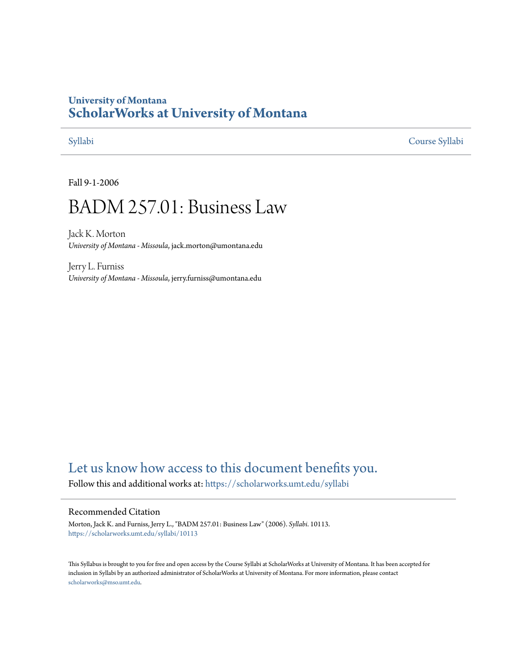## **University of Montana [ScholarWorks at University of Montana](https://scholarworks.umt.edu?utm_source=scholarworks.umt.edu%2Fsyllabi%2F10113&utm_medium=PDF&utm_campaign=PDFCoverPages)**

[Syllabi](https://scholarworks.umt.edu/syllabi?utm_source=scholarworks.umt.edu%2Fsyllabi%2F10113&utm_medium=PDF&utm_campaign=PDFCoverPages) [Course Syllabi](https://scholarworks.umt.edu/course_syllabi?utm_source=scholarworks.umt.edu%2Fsyllabi%2F10113&utm_medium=PDF&utm_campaign=PDFCoverPages)

Fall 9-1-2006

# BADM 257.01: Business Law

Jack K. Morton *University of Montana - Missoula*, jack.morton@umontana.edu

Jerry L. Furniss *University of Montana - Missoula*, jerry.furniss@umontana.edu

# [Let us know how access to this document benefits you.](https://goo.gl/forms/s2rGfXOLzz71qgsB2)

Follow this and additional works at: [https://scholarworks.umt.edu/syllabi](https://scholarworks.umt.edu/syllabi?utm_source=scholarworks.umt.edu%2Fsyllabi%2F10113&utm_medium=PDF&utm_campaign=PDFCoverPages)

#### Recommended Citation

Morton, Jack K. and Furniss, Jerry L., "BADM 257.01: Business Law" (2006). *Syllabi*. 10113. [https://scholarworks.umt.edu/syllabi/10113](https://scholarworks.umt.edu/syllabi/10113?utm_source=scholarworks.umt.edu%2Fsyllabi%2F10113&utm_medium=PDF&utm_campaign=PDFCoverPages)

This Syllabus is brought to you for free and open access by the Course Syllabi at ScholarWorks at University of Montana. It has been accepted for inclusion in Syllabi by an authorized administrator of ScholarWorks at University of Montana. For more information, please contact [scholarworks@mso.umt.edu](mailto:scholarworks@mso.umt.edu).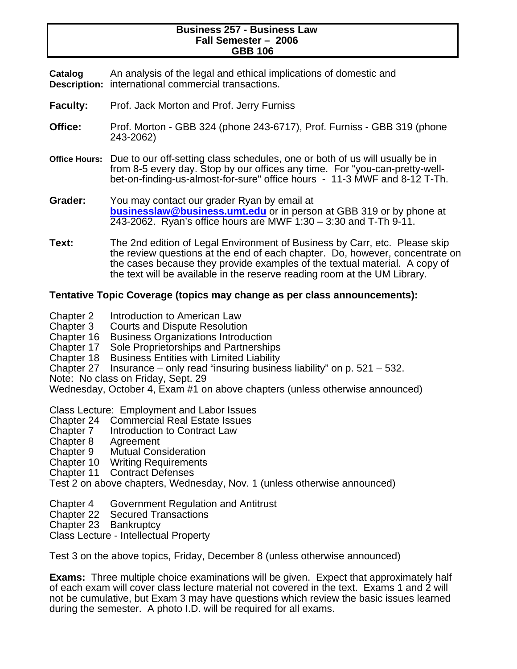#### **Business 257 - Business Law Fall Semester – 2006 GBB 106**

**Catalog Description:**  international commercial transactions. An analysis of the legal and ethical implications of domestic and

- Faculty: Prof. Jack Morton and Prof. Jerry Furniss
- **Office:** Prof. Morton GBB 324 (phone 243-6717), Prof. Furniss GBB 319 (phone 243-2062)
- **Office Hours:** Due to our off-setting class schedules, one or both of us will usually be in from 8-5 every day. Stop by our offices any time. For "you-can-pretty-wellbet-on-finding-us-almost-for-sure" office hours - 11-3 MWF and 8-12 T-Th.
- **Grader:** You may contact our grader Ryan by email at **businesslaw@business.umt.edu** or in person at GBB 319 or by phone at 243-2062. Ryan's office hours are MWF 1:30 – 3:30 and T-Th 9-11.
- **Text:** The 2nd edition of Legal Environment of Business by Carr, etc. Please skip the review questions at the end of each chapter. Do, however, concentrate on the cases because they provide examples of the textual material. A copy of the text will be available in the reserve reading room at the UM Library.

### **Tentative Topic Coverage (topics may change as per class announcements):**

- Chapter 2 Introduction to American Law
- Chapter 3 Courts and Dispute Resolution
- Chapter 16 Business Organizations Introduction
- Chapter 17 Sole Proprietorships and Partnerships
- Chapter 18 Business Entities with Limited Liability
- Chapter 27 Insurance only read "insuring business liability" on p. 521 532.
- Note: No class on Friday, Sept. 29

Wednesday, October 4, Exam #1 on above chapters (unless otherwise announced)

Class Lecture: Employment and Labor Issues

- Chapter 24 Commercial Real Estate Issues
- Chapter 7 Introduction to Contract Law
- Chapter 8 Agreement
- Chapter 9 Mutual Consideration
- Chapter 10 Writing Requirements
- Chapter 11 Contract Defenses

Test 2 on above chapters, Wednesday, Nov. 1 (unless otherwise announced)

Chapter 4 Government Regulation and Antitrust

- Chapter 22 Secured Transactions
- Chapter 23 Bankruptcy

Class Lecture - Intellectual Property

Test 3 on the above topics, Friday, December 8 (unless otherwise announced)

**Exams:** Three multiple choice examinations will be given. Expect that approximately half of each exam will cover class lecture material not covered in the text. Exams 1 and 2 will not be cumulative, but Exam 3 may have questions which review the basic issues learned during the semester. A photo I.D. will be required for all exams.